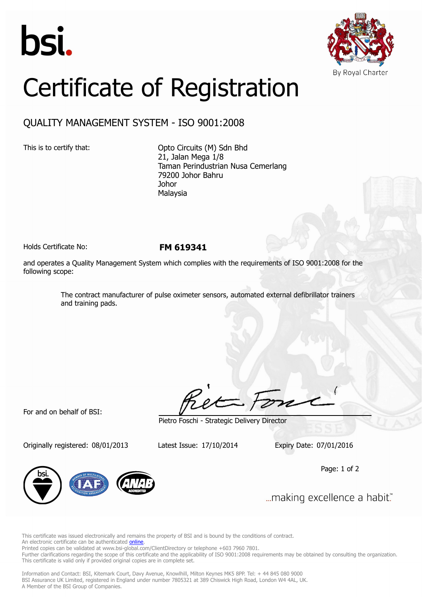



## Certificate of Registration

## QUALITY MANAGEMENT SYSTEM - ISO 9001:2008

This is to certify that: Opto Circuits (M) Sdn Bhd 21, Jalan Mega 1/8 Taman Perindustrian Nusa Cemerlang 79200 Johor Bahru Johor Malaysia

Holds Certificate No: **FM 619341**

and operates a Quality Management System which complies with the requirements of ISO 9001:2008 for the following scope:

> The contract manufacturer of pulse oximeter sensors, automated external defibrillator trainers and training pads.

For and on behalf of BSI:

Originally registered: 08/01/2013 Latest Issue: 17/10/2014 Expiry Date: 07/01/2016

Pietro Foschi - Strategic Delivery Director

Page: 1 of 2



... making excellence a habit."

This certificate was issued electronically and remains the property of BSI and is bound by the conditions of contract. An electronic certificate can be authenticated **[online](https://pgplus.bsigroup.com/CertificateValidation/CertificateValidator.aspx?CertificateNumber=FM+619341&ReIssueDate=17%2f10%2f2014&Template=malaysia_en)** 

Printed copies can be validated at www.bsi-global.com/ClientDirectory or telephone +603 7960 7801.

Further clarifications regarding the scope of this certificate and the applicability of ISO 9001:2008 requirements may be obtained by consulting the organization. This certificate is valid only if provided original copies are in complete set.

Information and Contact: BSI, Kitemark Court, Davy Avenue, Knowlhill, Milton Keynes MK5 8PP. Tel: + 44 845 080 9000 BSI Assurance UK Limited, registered in England under number 7805321 at 389 Chiswick High Road, London W4 4AL, UK. A Member of the BSI Group of Companies.